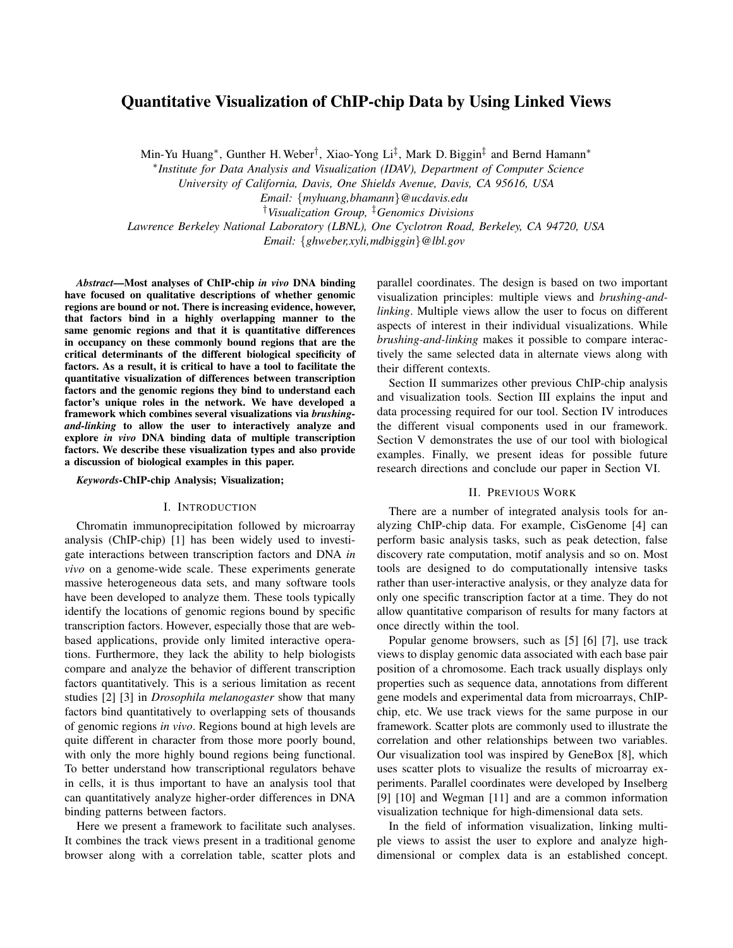# Quantitative Visualization of ChIP-chip Data by Using Linked Views

Min-Yu Huang<sup>\*</sup>, Gunther H. Weber<sup>†</sup>, Xiao-Yong Li<sup>‡</sup>, Mark D. Biggin<sup>‡</sup> and Bernd Hamann<sup>\*</sup>

∗ *Institute for Data Analysis and Visualization (IDAV), Department of Computer Science*

*University of California, Davis, One Shields Avenue, Davis, CA 95616, USA*

*Email:* {*myhuang,bhamann*}*@ucdavis.edu*

†*Visualization Group,* ‡*Genomics Divisions*

*Lawrence Berkeley National Laboratory (LBNL), One Cyclotron Road, Berkeley, CA 94720, USA*

*Email:* {*ghweber,xyli,mdbiggin*}*@lbl.gov*

*Abstract*—Most analyses of ChIP-chip *in vivo* DNA binding have focused on qualitative descriptions of whether genomic regions are bound or not. There is increasing evidence, however, that factors bind in a highly overlapping manner to the same genomic regions and that it is quantitative differences in occupancy on these commonly bound regions that are the critical determinants of the different biological specificity of factors. As a result, it is critical to have a tool to facilitate the quantitative visualization of differences between transcription factors and the genomic regions they bind to understand each factor's unique roles in the network. We have developed a framework which combines several visualizations via *brushingand-linking* to allow the user to interactively analyze and explore *in vivo* DNA binding data of multiple transcription factors. We describe these visualization types and also provide a discussion of biological examples in this paper.

# *Keywords*-ChIP-chip Analysis; Visualization;

## I. INTRODUCTION

Chromatin immunoprecipitation followed by microarray analysis (ChIP-chip) [1] has been widely used to investigate interactions between transcription factors and DNA *in vivo* on a genome-wide scale. These experiments generate massive heterogeneous data sets, and many software tools have been developed to analyze them. These tools typically identify the locations of genomic regions bound by specific transcription factors. However, especially those that are webbased applications, provide only limited interactive operations. Furthermore, they lack the ability to help biologists compare and analyze the behavior of different transcription factors quantitatively. This is a serious limitation as recent studies [2] [3] in *Drosophila melanogaster* show that many factors bind quantitatively to overlapping sets of thousands of genomic regions *in vivo*. Regions bound at high levels are quite different in character from those more poorly bound, with only the more highly bound regions being functional. To better understand how transcriptional regulators behave in cells, it is thus important to have an analysis tool that can quantitatively analyze higher-order differences in DNA binding patterns between factors.

Here we present a framework to facilitate such analyses. It combines the track views present in a traditional genome browser along with a correlation table, scatter plots and parallel coordinates. The design is based on two important visualization principles: multiple views and *brushing-andlinking*. Multiple views allow the user to focus on different aspects of interest in their individual visualizations. While *brushing-and-linking* makes it possible to compare interactively the same selected data in alternate views along with their different contexts.

Section II summarizes other previous ChIP-chip analysis and visualization tools. Section III explains the input and data processing required for our tool. Section IV introduces the different visual components used in our framework. Section V demonstrates the use of our tool with biological examples. Finally, we present ideas for possible future research directions and conclude our paper in Section VI.

#### II. PREVIOUS WORK

There are a number of integrated analysis tools for analyzing ChIP-chip data. For example, CisGenome [4] can perform basic analysis tasks, such as peak detection, false discovery rate computation, motif analysis and so on. Most tools are designed to do computationally intensive tasks rather than user-interactive analysis, or they analyze data for only one specific transcription factor at a time. They do not allow quantitative comparison of results for many factors at once directly within the tool.

Popular genome browsers, such as [5] [6] [7], use track views to display genomic data associated with each base pair position of a chromosome. Each track usually displays only properties such as sequence data, annotations from different gene models and experimental data from microarrays, ChIPchip, etc. We use track views for the same purpose in our framework. Scatter plots are commonly used to illustrate the correlation and other relationships between two variables. Our visualization tool was inspired by GeneBox [8], which uses scatter plots to visualize the results of microarray experiments. Parallel coordinates were developed by Inselberg [9] [10] and Wegman [11] and are a common information visualization technique for high-dimensional data sets.

In the field of information visualization, linking multiple views to assist the user to explore and analyze highdimensional or complex data is an established concept.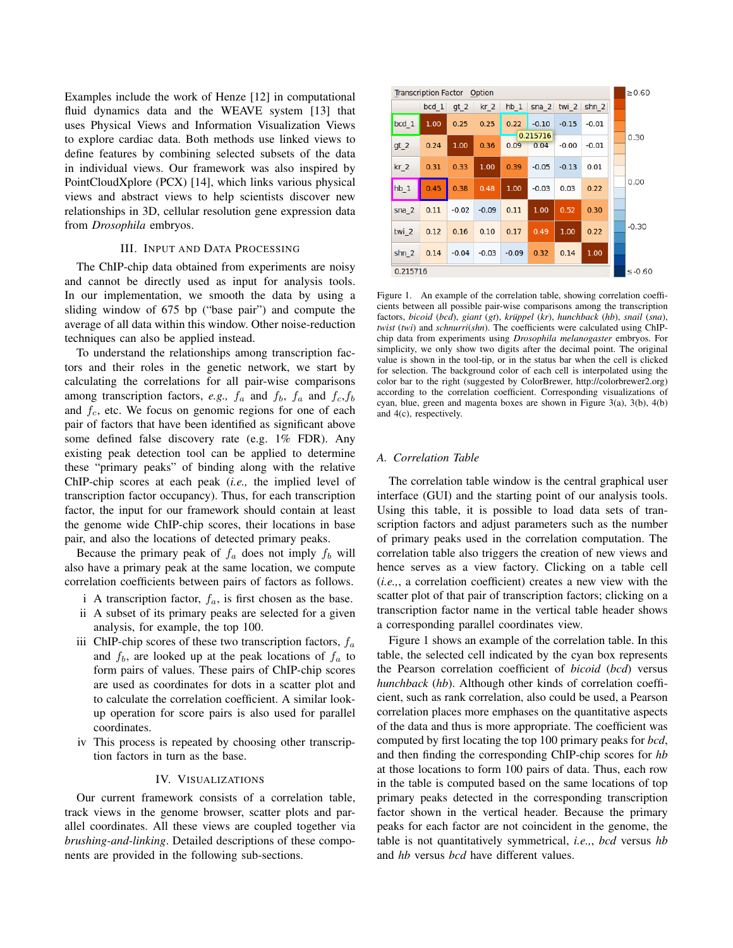Examples include the work of Henze [12] in computational fluid dynamics data and the WEAVE system [13] that uses Physical Views and Information Visualization Views to explore cardiac data. Both methods use linked views to define features by combining selected subsets of the data in individual views. Our framework was also inspired by PointCloudXplore (PCX) [14], which links various physical views and abstract views to help scientists discover new relationships in 3D, cellular resolution gene expression data from *Drosophila* embryos.

## III. INPUT AND DATA PROCESSING

The ChIP-chip data obtained from experiments are noisy and cannot be directly used as input for analysis tools. In our implementation, we smooth the data by using a sliding window of 675 bp ("base pair") and compute the average of all data within this window. Other noise-reduction techniques can also be applied instead.

To understand the relationships among transcription factors and their roles in the genetic network, we start by calculating the correlations for all pair-wise comparisons among transcription factors, *e.g.*,  $f_a$  and  $f_b$ ,  $f_a$  and  $f_c$ ,  $f_b$ and  $f_c$ , etc. We focus on genomic regions for one of each pair of factors that have been identified as significant above some defined false discovery rate (e.g. 1% FDR). Any existing peak detection tool can be applied to determine these "primary peaks" of binding along with the relative ChIP-chip scores at each peak (*i.e.,* the implied level of transcription factor occupancy). Thus, for each transcription factor, the input for our framework should contain at least the genome wide ChIP-chip scores, their locations in base pair, and also the locations of detected primary peaks.

Because the primary peak of  $f_a$  does not imply  $f_b$  will also have a primary peak at the same location, we compute correlation coefficients between pairs of factors as follows.

- i A transcription factor,  $f_a$ , is first chosen as the base.
- ii A subset of its primary peaks are selected for a given analysis, for example, the top 100.
- iii ChIP-chip scores of these two transcription factors,  $f_a$ and  $f_b$ , are looked up at the peak locations of  $f_a$  to form pairs of values. These pairs of ChIP-chip scores are used as coordinates for dots in a scatter plot and to calculate the correlation coefficient. A similar lookup operation for score pairs is also used for parallel coordinates.
- iv This process is repeated by choosing other transcription factors in turn as the base.

## IV. VISUALIZATIONS

Our current framework consists of a correlation table, track views in the genome browser, scatter plots and parallel coordinates. All these views are coupled together via *brushing-and-linking*. Detailed descriptions of these components are provided in the following sub-sections.



Figure 1. An example of the correlation table, showing correlation coefficients between all possible pair-wise comparisons among the transcription factors, *bicoid* (*bcd*), *giant* (*gt*), *kruppel ¨* (*kr*), *hunchback* (*hb*), *snail* (*sna*), *twist* (*twi*) and *schnurri*(*shn*). The coefficients were calculated using ChIPchip data from experiments using *Drosophila melanogaster* embryos. For simplicity, we only show two digits after the decimal point. The original value is shown in the tool-tip, or in the status bar when the cell is clicked for selection. The background color of each cell is interpolated using the color bar to the right (suggested by ColorBrewer, http://colorbrewer2.org) according to the correlation coefficient. Corresponding visualizations of cyan, blue, green and magenta boxes are shown in Figure 3(a), 3(b), 4(b) and 4(c), respectively.

#### *A. Correlation Table*

The correlation table window is the central graphical user interface (GUI) and the starting point of our analysis tools. Using this table, it is possible to load data sets of transcription factors and adjust parameters such as the number of primary peaks used in the correlation computation. The correlation table also triggers the creation of new views and hence serves as a view factory. Clicking on a table cell (*i.e.,*, a correlation coefficient) creates a new view with the scatter plot of that pair of transcription factors; clicking on a transcription factor name in the vertical table header shows a corresponding parallel coordinates view.

Figure 1 shows an example of the correlation table. In this table, the selected cell indicated by the cyan box represents the Pearson correlation coefficient of *bicoid* (*bcd*) versus *hunchback* (*hb*). Although other kinds of correlation coefficient, such as rank correlation, also could be used, a Pearson correlation places more emphases on the quantitative aspects of the data and thus is more appropriate. The coefficient was computed by first locating the top 100 primary peaks for *bcd*, and then finding the corresponding ChIP-chip scores for *hb* at those locations to form 100 pairs of data. Thus, each row in the table is computed based on the same locations of top primary peaks detected in the corresponding transcription factor shown in the vertical header. Because the primary peaks for each factor are not coincident in the genome, the table is not quantitatively symmetrical, *i.e.,*, *bcd* versus *hb* and *hb* versus *bcd* have different values.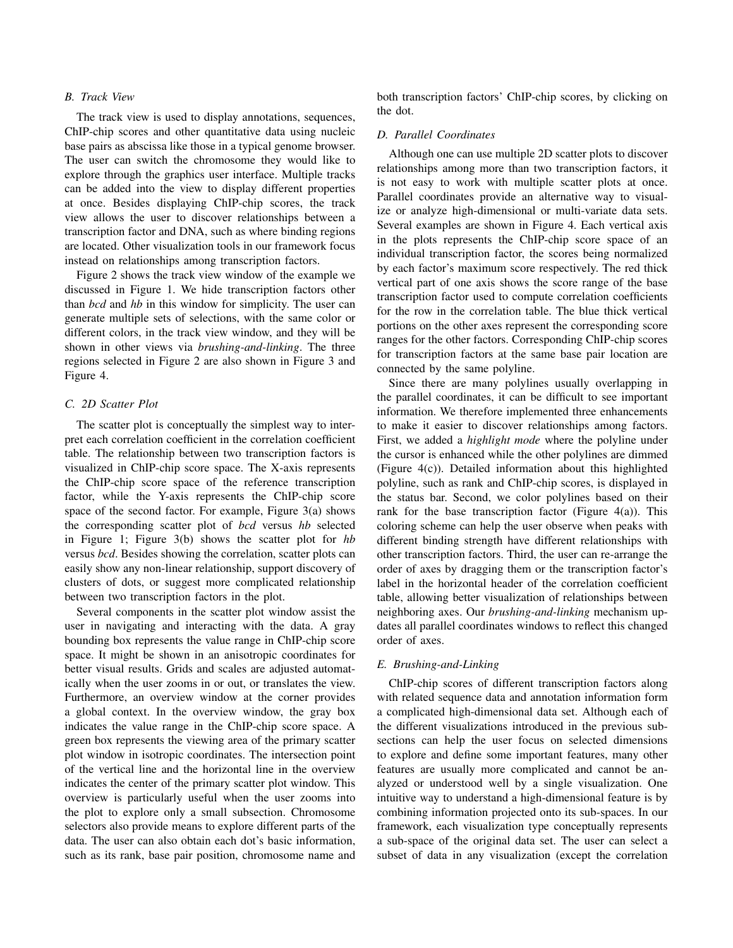## *B. Track View*

The track view is used to display annotations, sequences, ChIP-chip scores and other quantitative data using nucleic base pairs as abscissa like those in a typical genome browser. The user can switch the chromosome they would like to explore through the graphics user interface. Multiple tracks can be added into the view to display different properties at once. Besides displaying ChIP-chip scores, the track view allows the user to discover relationships between a transcription factor and DNA, such as where binding regions are located. Other visualization tools in our framework focus instead on relationships among transcription factors.

Figure 2 shows the track view window of the example we discussed in Figure 1. We hide transcription factors other than *bcd* and *hb* in this window for simplicity. The user can generate multiple sets of selections, with the same color or different colors, in the track view window, and they will be shown in other views via *brushing-and-linking*. The three regions selected in Figure 2 are also shown in Figure 3 and Figure 4.

## *C. 2D Scatter Plot*

The scatter plot is conceptually the simplest way to interpret each correlation coefficient in the correlation coefficient table. The relationship between two transcription factors is visualized in ChIP-chip score space. The X-axis represents the ChIP-chip score space of the reference transcription factor, while the Y-axis represents the ChIP-chip score space of the second factor. For example, Figure 3(a) shows the corresponding scatter plot of *bcd* versus *hb* selected in Figure 1; Figure 3(b) shows the scatter plot for *hb* versus *bcd*. Besides showing the correlation, scatter plots can easily show any non-linear relationship, support discovery of clusters of dots, or suggest more complicated relationship between two transcription factors in the plot.

Several components in the scatter plot window assist the user in navigating and interacting with the data. A gray bounding box represents the value range in ChIP-chip score space. It might be shown in an anisotropic coordinates for better visual results. Grids and scales are adjusted automatically when the user zooms in or out, or translates the view. Furthermore, an overview window at the corner provides a global context. In the overview window, the gray box indicates the value range in the ChIP-chip score space. A green box represents the viewing area of the primary scatter plot window in isotropic coordinates. The intersection point of the vertical line and the horizontal line in the overview indicates the center of the primary scatter plot window. This overview is particularly useful when the user zooms into the plot to explore only a small subsection. Chromosome selectors also provide means to explore different parts of the data. The user can also obtain each dot's basic information, such as its rank, base pair position, chromosome name and both transcription factors' ChIP-chip scores, by clicking on the dot.

#### *D. Parallel Coordinates*

Although one can use multiple 2D scatter plots to discover relationships among more than two transcription factors, it is not easy to work with multiple scatter plots at once. Parallel coordinates provide an alternative way to visualize or analyze high-dimensional or multi-variate data sets. Several examples are shown in Figure 4. Each vertical axis in the plots represents the ChIP-chip score space of an individual transcription factor, the scores being normalized by each factor's maximum score respectively. The red thick vertical part of one axis shows the score range of the base transcription factor used to compute correlation coefficients for the row in the correlation table. The blue thick vertical portions on the other axes represent the corresponding score ranges for the other factors. Corresponding ChIP-chip scores for transcription factors at the same base pair location are connected by the same polyline.

Since there are many polylines usually overlapping in the parallel coordinates, it can be difficult to see important information. We therefore implemented three enhancements to make it easier to discover relationships among factors. First, we added a *highlight mode* where the polyline under the cursor is enhanced while the other polylines are dimmed (Figure 4(c)). Detailed information about this highlighted polyline, such as rank and ChIP-chip scores, is displayed in the status bar. Second, we color polylines based on their rank for the base transcription factor (Figure  $4(a)$ ). This coloring scheme can help the user observe when peaks with different binding strength have different relationships with other transcription factors. Third, the user can re-arrange the order of axes by dragging them or the transcription factor's label in the horizontal header of the correlation coefficient table, allowing better visualization of relationships between neighboring axes. Our *brushing-and-linking* mechanism updates all parallel coordinates windows to reflect this changed order of axes.

## *E. Brushing-and-Linking*

ChIP-chip scores of different transcription factors along with related sequence data and annotation information form a complicated high-dimensional data set. Although each of the different visualizations introduced in the previous subsections can help the user focus on selected dimensions to explore and define some important features, many other features are usually more complicated and cannot be analyzed or understood well by a single visualization. One intuitive way to understand a high-dimensional feature is by combining information projected onto its sub-spaces. In our framework, each visualization type conceptually represents a sub-space of the original data set. The user can select a subset of data in any visualization (except the correlation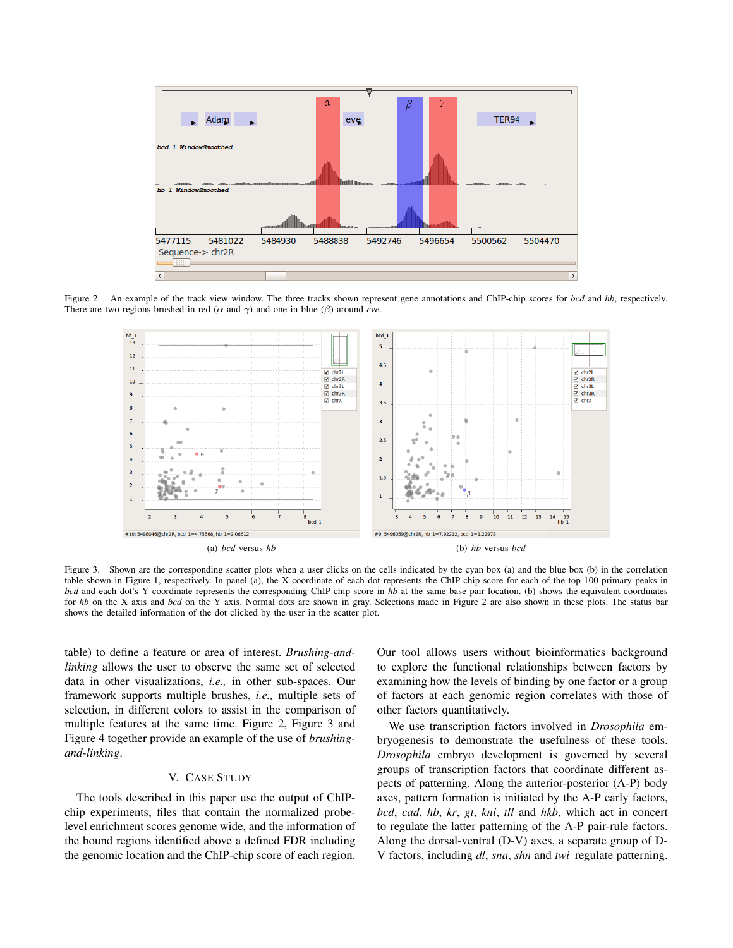

Figure 2. An example of the track view window. The three tracks shown represent gene annotations and ChIP-chip scores for *bcd* and *hb*, respectively. There are two regions brushed in red ( $\alpha$  and  $\gamma$ ) and one in blue ( $\beta$ ) around *eve*.



Figure 3. Shown are the corresponding scatter plots when a user clicks on the cells indicated by the cyan box (a) and the blue box (b) in the correlation table shown in Figure 1, respectively. In panel (a), the X coordinate of each dot represents the ChIP-chip score for each of the top 100 primary peaks in *bcd* and each dot's Y coordinate represents the corresponding ChIP-chip score in *hb* at the same base pair location. (b) shows the equivalent coordinates for *hb* on the X axis and *bcd* on the Y axis. Normal dots are shown in gray. Selections made in Figure 2 are also shown in these plots. The status bar shows the detailed information of the dot clicked by the user in the scatter plot.

table) to define a feature or area of interest. *Brushing-andlinking* allows the user to observe the same set of selected data in other visualizations, *i.e.,* in other sub-spaces. Our framework supports multiple brushes, *i.e.,* multiple sets of selection, in different colors to assist in the comparison of multiple features at the same time. Figure 2, Figure 3 and Figure 4 together provide an example of the use of *brushingand-linking*.

## V. CASE STUDY

The tools described in this paper use the output of ChIPchip experiments, files that contain the normalized probelevel enrichment scores genome wide, and the information of the bound regions identified above a defined FDR including the genomic location and the ChIP-chip score of each region. Our tool allows users without bioinformatics background to explore the functional relationships between factors by examining how the levels of binding by one factor or a group of factors at each genomic region correlates with those of other factors quantitatively.

We use transcription factors involved in *Drosophila* embryogenesis to demonstrate the usefulness of these tools. *Drosophila* embryo development is governed by several groups of transcription factors that coordinate different aspects of patterning. Along the anterior-posterior (A-P) body axes, pattern formation is initiated by the A-P early factors, *bcd*, *cad*, *hb*, *kr*, *gt*, *kni*, *tll* and *hkb*, which act in concert to regulate the latter patterning of the A-P pair-rule factors. Along the dorsal-ventral (D-V) axes, a separate group of D-V factors, including *dl*, *sna*, *shn* and *twi* regulate patterning.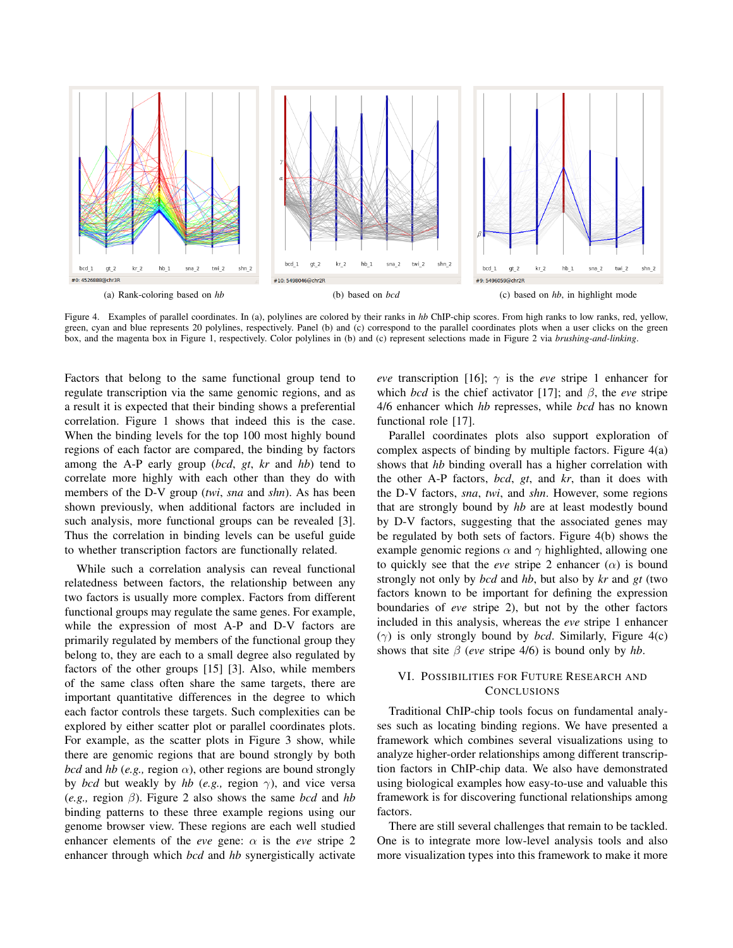

Figure 4. Examples of parallel coordinates. In (a), polylines are colored by their ranks in *hb* ChIP-chip scores. From high ranks to low ranks, red, yellow, green, cyan and blue represents 20 polylines, respectively. Panel (b) and (c) correspond to the parallel coordinates plots when a user clicks on the green box, and the magenta box in Figure 1, respectively. Color polylines in (b) and (c) represent selections made in Figure 2 via *brushing-and-linking*.

Factors that belong to the same functional group tend to regulate transcription via the same genomic regions, and as a result it is expected that their binding shows a preferential correlation. Figure 1 shows that indeed this is the case. When the binding levels for the top 100 most highly bound regions of each factor are compared, the binding by factors among the A-P early group (*bcd*, *gt*, *kr* and *hb*) tend to correlate more highly with each other than they do with members of the D-V group (*twi*, *sna* and *shn*). As has been shown previously, when additional factors are included in such analysis, more functional groups can be revealed [3]. Thus the correlation in binding levels can be useful guide to whether transcription factors are functionally related.

While such a correlation analysis can reveal functional relatedness between factors, the relationship between any two factors is usually more complex. Factors from different functional groups may regulate the same genes. For example, while the expression of most A-P and D-V factors are primarily regulated by members of the functional group they belong to, they are each to a small degree also regulated by factors of the other groups [15] [3]. Also, while members of the same class often share the same targets, there are important quantitative differences in the degree to which each factor controls these targets. Such complexities can be explored by either scatter plot or parallel coordinates plots. For example, as the scatter plots in Figure 3 show, while there are genomic regions that are bound strongly by both *bcd* and *hb* (*e.g.*, region  $\alpha$ ), other regions are bound strongly by *bcd* but weakly by *hb* (*e.g.,* region  $\gamma$ ), and vice versa (*e.g.*, region  $\beta$ ). Figure 2 also shows the same *bcd* and *hb* binding patterns to these three example regions using our genome browser view. These regions are each well studied enhancer elements of the *eve* gene:  $\alpha$  is the *eve* stripe 2 enhancer through which *bcd* and *hb* synergistically activate *eve* transcription [16];  $\gamma$  is the *eve* stripe 1 enhancer for which *bcd* is the chief activator [17]; and β, the *eve* stripe 4/6 enhancer which *hb* represses, while *bcd* has no known functional role [17].

Parallel coordinates plots also support exploration of complex aspects of binding by multiple factors. Figure 4(a) shows that *hb* binding overall has a higher correlation with the other A-P factors, *bcd*, *gt*, and *kr*, than it does with the D-V factors, *sna*, *twi*, and *shn*. However, some regions that are strongly bound by *hb* are at least modestly bound by D-V factors, suggesting that the associated genes may be regulated by both sets of factors. Figure 4(b) shows the example genomic regions  $\alpha$  and  $\gamma$  highlighted, allowing one to quickly see that the *eve* stripe 2 enhancer  $(\alpha)$  is bound strongly not only by *bcd* and *hb*, but also by *kr* and *gt* (two factors known to be important for defining the expression boundaries of *eve* stripe 2), but not by the other factors included in this analysis, whereas the *eve* stripe 1 enhancer ( $γ$ ) is only strongly bound by *bcd*. Similarly, Figure 4(c) shows that site  $\beta$  (*eve* stripe 4/6) is bound only by *hb*.

# VI. POSSIBILITIES FOR FUTURE RESEARCH AND **CONCLUSIONS**

Traditional ChIP-chip tools focus on fundamental analyses such as locating binding regions. We have presented a framework which combines several visualizations using to analyze higher-order relationships among different transcription factors in ChIP-chip data. We also have demonstrated using biological examples how easy-to-use and valuable this framework is for discovering functional relationships among factors.

There are still several challenges that remain to be tackled. One is to integrate more low-level analysis tools and also more visualization types into this framework to make it more